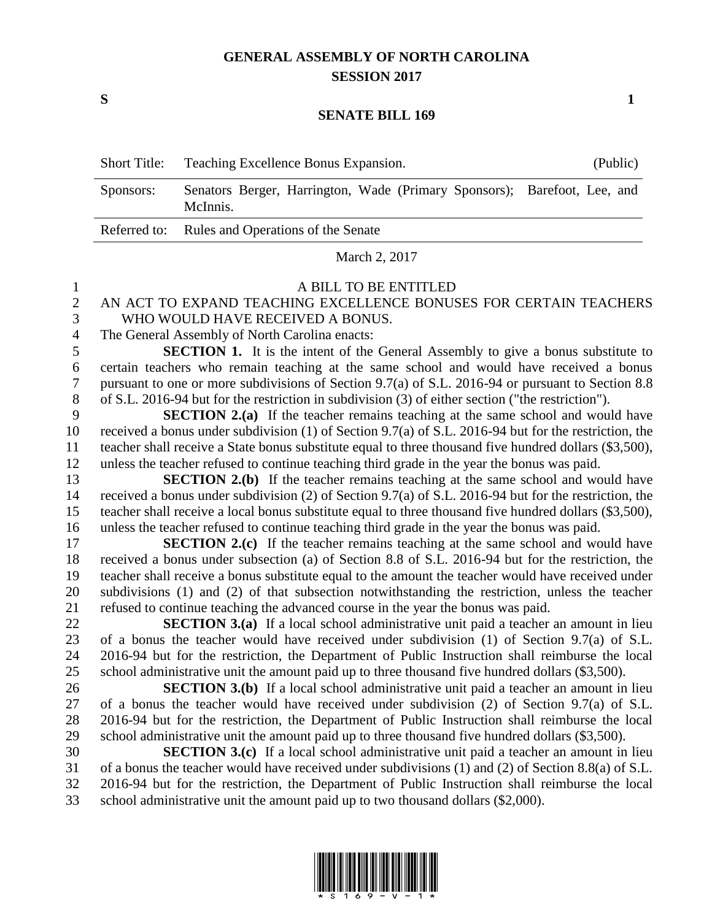## **GENERAL ASSEMBLY OF NORTH CAROLINA SESSION 2017**

**S 1**

#### **SENATE BILL 169**

|           | Short Title: Teaching Excellence Bonus Expansion.                                    | (Public) |
|-----------|--------------------------------------------------------------------------------------|----------|
| Sponsors: | Senators Berger, Harrington, Wade (Primary Sponsors); Barefoot, Lee, and<br>McInnis. |          |
|           | Referred to: Rules and Operations of the Senate                                      |          |

March 2, 2017

#### A BILL TO BE ENTITLED

### AN ACT TO EXPAND TEACHING EXCELLENCE BONUSES FOR CERTAIN TEACHERS WHO WOULD HAVE RECEIVED A BONUS.

The General Assembly of North Carolina enacts:

 **SECTION 1.** It is the intent of the General Assembly to give a bonus substitute to certain teachers who remain teaching at the same school and would have received a bonus pursuant to one or more subdivisions of Section 9.7(a) of S.L. 2016-94 or pursuant to Section 8.8 of S.L. 2016-94 but for the restriction in subdivision (3) of either section ("the restriction").

 **SECTION 2.(a)** If the teacher remains teaching at the same school and would have received a bonus under subdivision (1) of Section 9.7(a) of S.L. 2016-94 but for the restriction, the teacher shall receive a State bonus substitute equal to three thousand five hundred dollars (\$3,500), unless the teacher refused to continue teaching third grade in the year the bonus was paid.

**SECTION 2.(b)** If the teacher remains teaching at the same school and would have received a bonus under subdivision (2) of Section 9.7(a) of S.L. 2016-94 but for the restriction, the teacher shall receive a local bonus substitute equal to three thousand five hundred dollars (\$3,500), unless the teacher refused to continue teaching third grade in the year the bonus was paid.

**SECTION 2.(c)** If the teacher remains teaching at the same school and would have received a bonus under subsection (a) of Section 8.8 of S.L. 2016-94 but for the restriction, the teacher shall receive a bonus substitute equal to the amount the teacher would have received under subdivisions (1) and (2) of that subsection notwithstanding the restriction, unless the teacher refused to continue teaching the advanced course in the year the bonus was paid.

 **SECTION 3.(a)** If a local school administrative unit paid a teacher an amount in lieu of a bonus the teacher would have received under subdivision (1) of Section 9.7(a) of S.L. 2016-94 but for the restriction, the Department of Public Instruction shall reimburse the local 25 school administrative unit the amount paid up to three thousand five hundred dollars (\$3,500).

 **SECTION 3.(b)** If a local school administrative unit paid a teacher an amount in lieu of a bonus the teacher would have received under subdivision (2) of Section 9.7(a) of S.L. 2016-94 but for the restriction, the Department of Public Instruction shall reimburse the local school administrative unit the amount paid up to three thousand five hundred dollars (\$3,500).

 **SECTION 3.(c)** If a local school administrative unit paid a teacher an amount in lieu of a bonus the teacher would have received under subdivisions (1) and (2) of Section 8.8(a) of S.L. 2016-94 but for the restriction, the Department of Public Instruction shall reimburse the local school administrative unit the amount paid up to two thousand dollars (\$2,000).